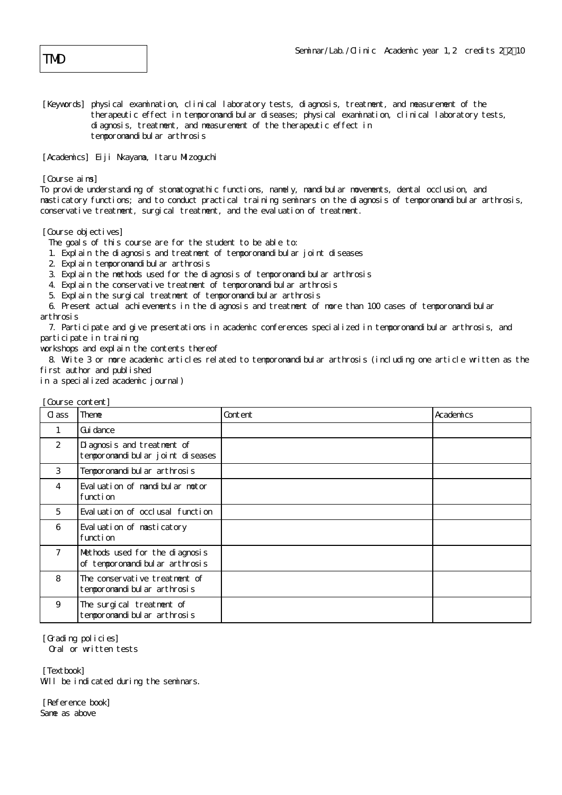[Keywords] physical examination, clinical laboratory tests, diagnosis, treatment, and measurement of the therapeutic effect in temporomandibular diseases; physical examination, clinical laboratory tests, diagnosis, treatment, and measurement of the therapeutic effect in temporomandibular arthrosis

[Academics] Eiji Nkayama, Itaru Mizoguchi

[Course aims]

To provide understanding of stomatognathic functions, namely, mandibular movements, dental occlusion, and masticatory functions; and to conduct practical training seminars on the diagnosis of temporomandibular arthrosis, conservative treatment, surgical treatment, and the evaluation of treatment.

[Course objectives]

The goals of this course are for the student to be able to:

- 1. Explain the diagnosis and treatment of temporomandibular joint diseases
- 2. Explain temporomandibular arthrosis
- 3. Explain the methods used for the diagnosis of temporomandibular arthrosis
- 4. Explain the conservative treatment of temporomandibular arthrosis
- 5. Explain the surgical treatment of temporomandibular arthrosis

 6. Present actual achievements in the diagnosis and treatment of more than 100 cases of temporomandibular arthrosis

 7. Participate and give presentations in academic conferences specialized in temporomandibular arthrosis, and participate in training

workshops and explain the contents thereof

 8. Write 3 or more academic articles related to temporomandibular arthrosis (including one article written as the first author and published

in a specialized academic journal)

| WUI SE CUILEIILI                                                      |         |           |
|-----------------------------------------------------------------------|---------|-----------|
| Theme                                                                 | Content | Academics |
| Gui dance                                                             |         |           |
| Di agnosis and treatment of<br>tempor omandi bul ar j oi nt di seases |         |           |
| Temporomandi bul ar arthrosis                                         |         |           |
| Evaluation of mandibular motor<br>function                            |         |           |
| Eval uation of occlusal function                                      |         |           |
| Evaluation of masticatory<br>function                                 |         |           |
| Methods used for the diagnosis<br>of temporomandibular arthrosis      |         |           |
| The conservative treatment of<br>temporomandi bul ar arthrosis        |         |           |
| The surgical treatment of<br>temporomandi bul ar arthrosis            |         |           |
|                                                                       |         |           |

[Course content]

[Grading policies] Oral or written tests

[Textbook] Will be indicated during the seminars.

[Reference book] Same as above

TMD